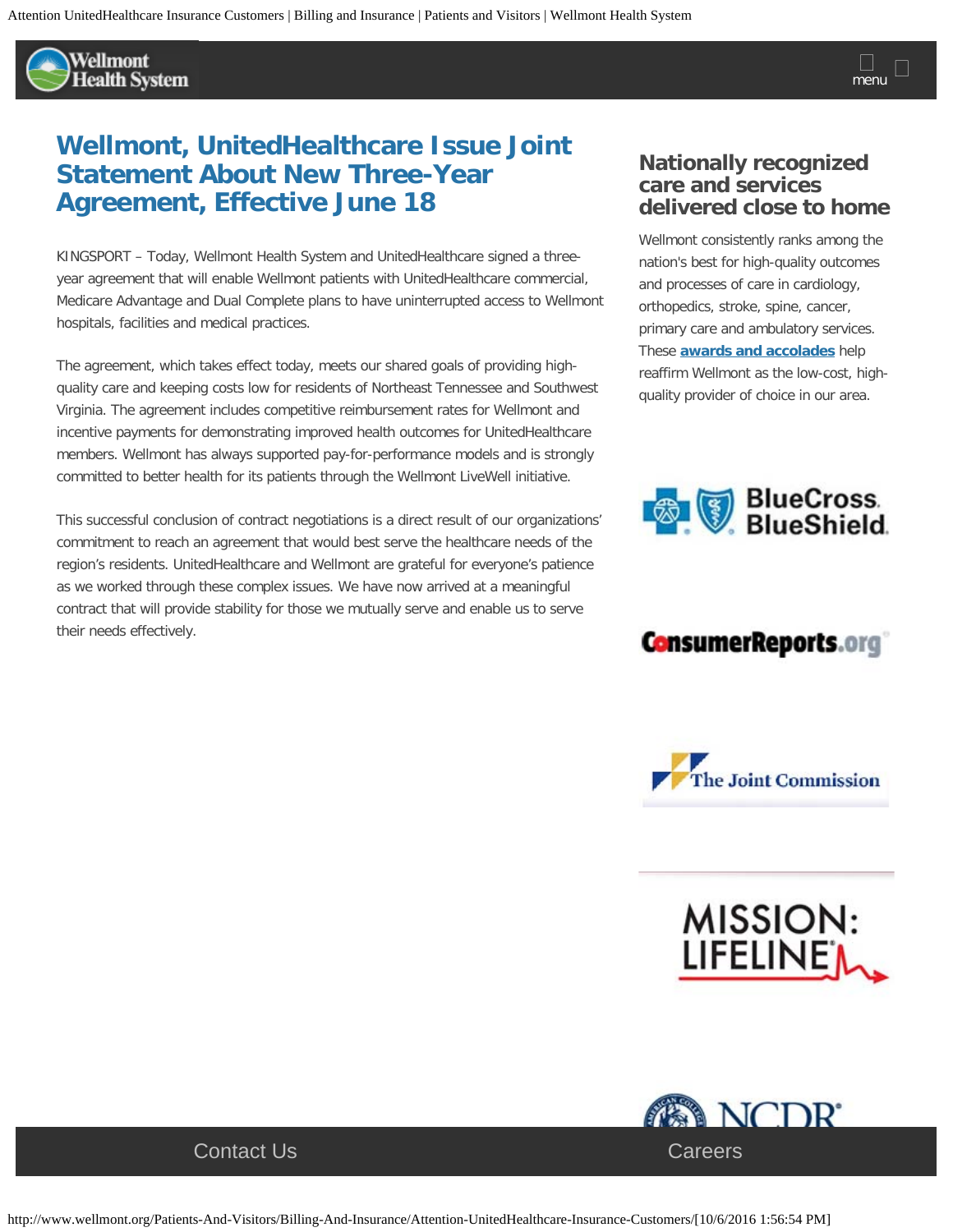Wellmont **Health System** 

## **Wellmont, UnitedHealthcare Issue Joint Statement About New Three-Year Agreement, Effective June 18**

KINGSPORT – Today, Wellmont Health System and UnitedHealthcare signed a threeyear agreement that will enable Wellmont patients with UnitedHealthcare commercial, Medicare Advantage and Dual Complete plans to have uninterrupted access to Wellmont hospitals, facilities and medical practices.

The agreement, which takes effect today, meets our shared goals of providing highquality care and keeping costs low for residents of Northeast Tennessee and Southwest Virginia. The agreement includes competitive reimbursement rates for Wellmont and incentive payments for demonstrating improved health outcomes for UnitedHealthcare members. Wellmont has always supported pay-for-performance models and is strongly committed to better health for its patients through the Wellmont LiveWell initiative.

This successful conclusion of contract negotiations is a direct result of our organizations' commitment to reach an agreement that would best serve the healthcare needs of the region's residents. UnitedHealthcare and Wellmont are grateful for everyone's patience as we worked through these complex issues. We have now arrived at a meaningful contract that will provide stability for those we mutually serve and enable us to serve their needs effectively.

## **Nationally recognized care and services delivered close to home**

Wellmont consistently ranks among the nation's best for high-quality outcomes and processes of care in cardiology, orthopedics, stroke, spine, cancer, primary care and ambulatory services. These **[awards and accolades](http://www.wellmont.org/Our-Mission/About-Us/Awards-And-Accolades/)** help reaffirm Wellmont as the low-cost, highquality provider of choice in our area.



## **ConsumerReports.org**



MISSION:<br>LIFELINE'<sub>M</sub>

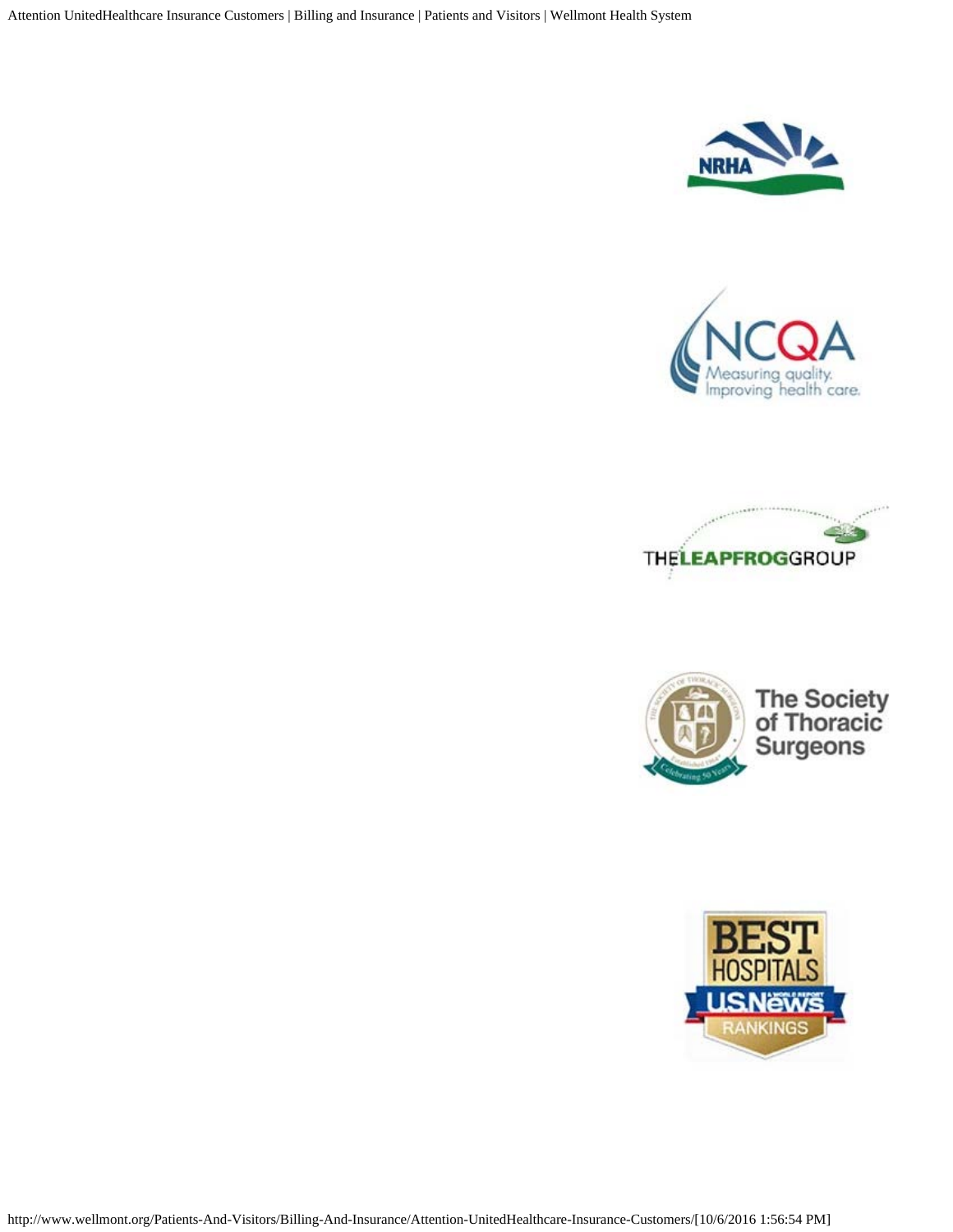Attention UnitedHealthcare Insurance Customers | Billing and Insurance | Patients and Visitors | Wellmont Health System









The Society<br>of Thoracic<br>Surgeons